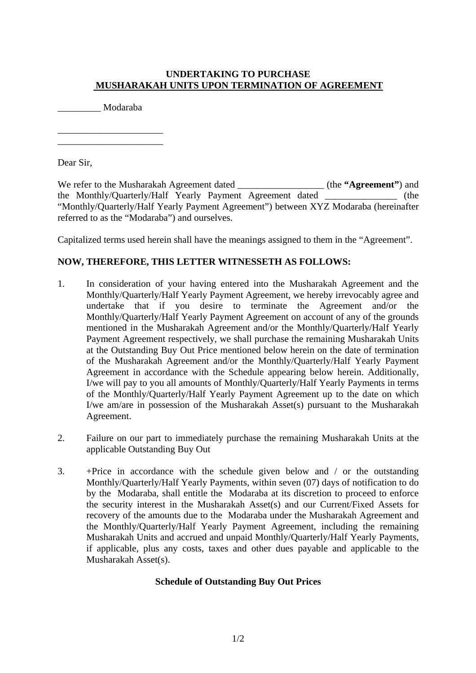## **UNDERTAKING TO PURCHASE MUSHARAKAH UNITS UPON TERMINATION OF AGREEMENT**

\_\_\_\_\_\_\_\_\_ Modaraba

\_\_\_\_\_\_\_\_\_\_\_\_\_\_\_\_\_\_\_\_\_\_ \_\_\_\_\_\_\_\_\_\_\_\_\_\_\_\_\_\_\_\_\_\_

Dear Sir,

We refer to the Musharakah Agreement dated \_\_\_\_\_\_\_\_\_\_\_\_\_\_\_\_\_\_ (the **"Agreement"**) and the Monthly/Quarterly/Half Yearly Payment Agreement dated \_\_\_\_\_\_\_\_\_\_\_\_\_\_\_ (the "Monthly/Quarterly/Half Yearly Payment Agreement") between XYZ Modaraba (hereinafter referred to as the "Modaraba") and ourselves.

Capitalized terms used herein shall have the meanings assigned to them in the "Agreement".

## **NOW, THEREFORE, THIS LETTER WITNESSETH AS FOLLOWS:**

- 1. In consideration of your having entered into the Musharakah Agreement and the Monthly/Quarterly/Half Yearly Payment Agreement, we hereby irrevocably agree and undertake that if you desire to terminate the Agreement and/or the Monthly/Quarterly/Half Yearly Payment Agreement on account of any of the grounds mentioned in the Musharakah Agreement and/or the Monthly/Quarterly/Half Yearly Payment Agreement respectively, we shall purchase the remaining Musharakah Units at the Outstanding Buy Out Price mentioned below herein on the date of termination of the Musharakah Agreement and/or the Monthly/Quarterly/Half Yearly Payment Agreement in accordance with the Schedule appearing below herein. Additionally, I/we will pay to you all amounts of Monthly/Quarterly/Half Yearly Payments in terms of the Monthly/Quarterly/Half Yearly Payment Agreement up to the date on which I/we am/are in possession of the Musharakah Asset(s) pursuant to the Musharakah Agreement.
- 2. Failure on our part to immediately purchase the remaining Musharakah Units at the applicable Outstanding Buy Out
- 3. +Price in accordance with the schedule given below and / or the outstanding Monthly/Quarterly/Half Yearly Payments, within seven (07) days of notification to do by the Modaraba, shall entitle the Modaraba at its discretion to proceed to enforce the security interest in the Musharakah Asset(s) and our Current/Fixed Assets for recovery of the amounts due to the Modaraba under the Musharakah Agreement and the Monthly/Quarterly/Half Yearly Payment Agreement, including the remaining Musharakah Units and accrued and unpaid Monthly/Quarterly/Half Yearly Payments, if applicable, plus any costs, taxes and other dues payable and applicable to the Musharakah Asset(s).

## **Schedule of Outstanding Buy Out Prices**